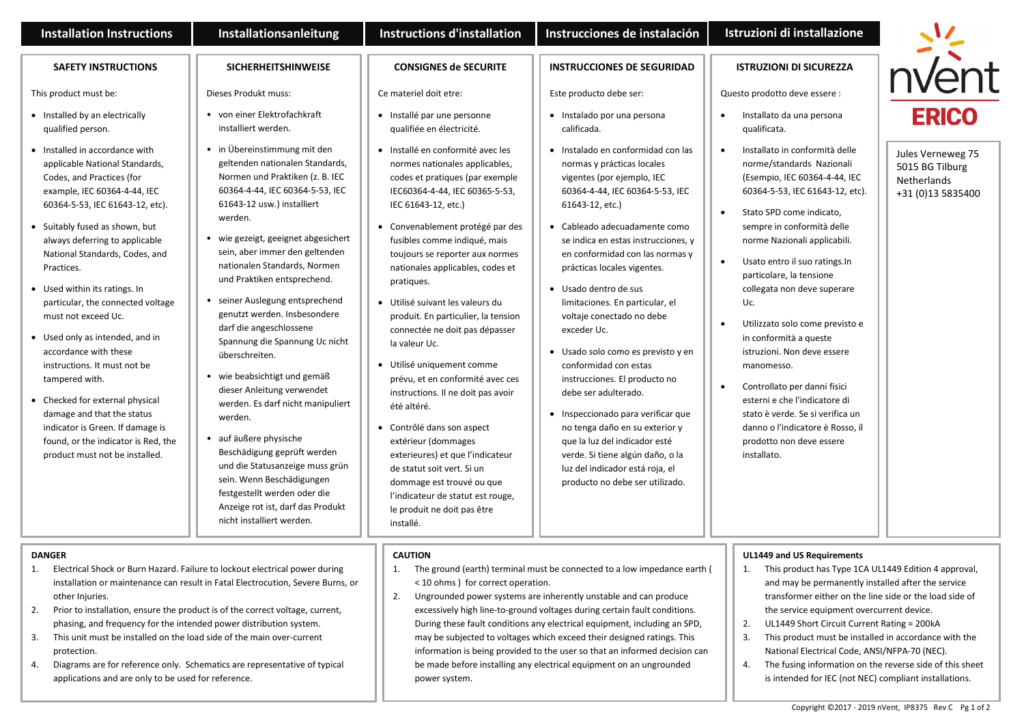| <b>Installation Instructions</b>                                                                                                                                                                                                                                                                                                                                                                                                                                                                                                                                                                                                                                              | Installationsanleitung                                                                                                                                                                                                                                                                                                                                                                                                                                                                                                                                                                                                                                                                                                                                                                                    | <b>Instructions d'installation</b>                                                                                                                                                                                                                                                                                                                                                                                                                                                                                                                                                                                                                                                                                                                                                                                 | Instrucciones de instalación                                                                                                                                                                                                                                                                                                                                                                                                                                                                                                                                                                                                                                                                                                                | Istruzioni di installazione                                                                                                                                                                                                                                                                                                                                                                                                                                                                                                                                                                                                                           |                                                                                 |
|-------------------------------------------------------------------------------------------------------------------------------------------------------------------------------------------------------------------------------------------------------------------------------------------------------------------------------------------------------------------------------------------------------------------------------------------------------------------------------------------------------------------------------------------------------------------------------------------------------------------------------------------------------------------------------|-----------------------------------------------------------------------------------------------------------------------------------------------------------------------------------------------------------------------------------------------------------------------------------------------------------------------------------------------------------------------------------------------------------------------------------------------------------------------------------------------------------------------------------------------------------------------------------------------------------------------------------------------------------------------------------------------------------------------------------------------------------------------------------------------------------|--------------------------------------------------------------------------------------------------------------------------------------------------------------------------------------------------------------------------------------------------------------------------------------------------------------------------------------------------------------------------------------------------------------------------------------------------------------------------------------------------------------------------------------------------------------------------------------------------------------------------------------------------------------------------------------------------------------------------------------------------------------------------------------------------------------------|---------------------------------------------------------------------------------------------------------------------------------------------------------------------------------------------------------------------------------------------------------------------------------------------------------------------------------------------------------------------------------------------------------------------------------------------------------------------------------------------------------------------------------------------------------------------------------------------------------------------------------------------------------------------------------------------------------------------------------------------|-------------------------------------------------------------------------------------------------------------------------------------------------------------------------------------------------------------------------------------------------------------------------------------------------------------------------------------------------------------------------------------------------------------------------------------------------------------------------------------------------------------------------------------------------------------------------------------------------------------------------------------------------------|---------------------------------------------------------------------------------|
| <b>SAFETY INSTRUCTIONS</b>                                                                                                                                                                                                                                                                                                                                                                                                                                                                                                                                                                                                                                                    | <b>SICHERHEITSHINWEISE</b>                                                                                                                                                                                                                                                                                                                                                                                                                                                                                                                                                                                                                                                                                                                                                                                | <b>CONSIGNES de SECURITE</b>                                                                                                                                                                                                                                                                                                                                                                                                                                                                                                                                                                                                                                                                                                                                                                                       | <b>INSTRUCCIONES DE SEGURIDAD</b>                                                                                                                                                                                                                                                                                                                                                                                                                                                                                                                                                                                                                                                                                                           | <b>ISTRUZIONI DI SICUREZZA</b>                                                                                                                                                                                                                                                                                                                                                                                                                                                                                                                                                                                                                        |                                                                                 |
| This product must be:                                                                                                                                                                                                                                                                                                                                                                                                                                                                                                                                                                                                                                                         | Dieses Produkt muss:                                                                                                                                                                                                                                                                                                                                                                                                                                                                                                                                                                                                                                                                                                                                                                                      | Ce materiel doit etre:                                                                                                                                                                                                                                                                                                                                                                                                                                                                                                                                                                                                                                                                                                                                                                                             | Este producto debe ser:                                                                                                                                                                                                                                                                                                                                                                                                                                                                                                                                                                                                                                                                                                                     | Questo prodotto deve essere :                                                                                                                                                                                                                                                                                                                                                                                                                                                                                                                                                                                                                         |                                                                                 |
| • Installed by an electrically<br>qualified person.                                                                                                                                                                                                                                                                                                                                                                                                                                                                                                                                                                                                                           | von einer Elektrofachkraft<br>installiert werden.                                                                                                                                                                                                                                                                                                                                                                                                                                                                                                                                                                                                                                                                                                                                                         | · Installé par une personne<br>qualifiée en électricité.                                                                                                                                                                                                                                                                                                                                                                                                                                                                                                                                                                                                                                                                                                                                                           | • Instalado por una persona<br>calificada.                                                                                                                                                                                                                                                                                                                                                                                                                                                                                                                                                                                                                                                                                                  | Installato da una persona<br>qualificata.                                                                                                                                                                                                                                                                                                                                                                                                                                                                                                                                                                                                             | <b>ERICO</b>                                                                    |
| • Installed in accordance with<br>applicable National Standards,<br>Codes, and Practices (for<br>example, IEC 60364-4-44, IEC<br>60364-5-53, IEC 61643-12, etc).<br>• Suitably fused as shown, but<br>always deferring to applicable<br>National Standards, Codes, and<br>Practices.<br>• Used within its ratings. In<br>particular, the connected voltage<br>must not exceed Uc.<br>• Used only as intended, and in<br>accordance with these<br>instructions. It must not be<br>tampered with.<br>• Checked for external physical<br>damage and that the status<br>indicator is Green. If damage is<br>found, or the indicator is Red, the<br>product must not be installed. | • in Übereinstimmung mit den<br>geltenden nationalen Standards,<br>Normen und Praktiken (z. B. IEC<br>60364-4-44, IEC 60364-5-53, IEC<br>61643-12 usw.) installiert<br>werden.<br>wie gezeigt, geeignet abgesichert<br>sein, aber immer den geltenden<br>nationalen Standards, Normen<br>und Praktiken entsprechend.<br>seiner Auslegung entsprechend<br>genutzt werden. Insbesondere<br>darf die angeschlossene<br>Spannung die Spannung Uc nicht<br>überschreiten.<br>wie beabsichtigt und gemäß<br>dieser Anleitung verwendet<br>werden. Es darf nicht manipuliert<br>werden.<br>auf äußere physische<br>Beschädigung geprüft werden<br>und die Statusanzeige muss grün<br>sein. Wenn Beschädigungen<br>festgestellt werden oder die<br>Anzeige rot ist, darf das Produkt<br>nicht installiert werden. | · Installé en conformité avec les<br>normes nationales applicables,<br>codes et pratiques (par exemple<br>IEC60364-4-44, IEC 60365-5-53,<br>IEC 61643-12, etc.)<br>• Convenablement protégé par des<br>fusibles comme indiqué, mais<br>toujours se reporter aux normes<br>nationales applicables, codes et<br>pratiques.<br>· Utilisé suivant les valeurs du<br>produit. En particulier, la tension<br>connectée ne doit pas dépasser<br>la valeur Uc.<br>· Utilisé uniquement comme<br>prévu, et en conformité avec ces<br>instructions. Il ne doit pas avoir<br>été altéré.<br>• Contrôlé dans son aspect<br>extérieur (dommages<br>exterieures) et que l'indicateur<br>de statut soit vert. Si un<br>dommage est trouvé ou que<br>l'indicateur de statut est rouge,<br>le produit ne doit pas être<br>installé. | · Instalado en conformidad con las<br>normas y prácticas locales<br>vigentes (por ejemplo, IEC<br>60364-4-44, IEC 60364-5-53, IEC<br>61643-12, etc.)<br>• Cableado adecuadamente como<br>se indica en estas instrucciones, y<br>en conformidad con las normas y<br>prácticas locales vigentes.<br>Usado dentro de sus<br>limitaciones. En particular, el<br>voltaje conectado no debe<br>exceder Uc.<br>Usado solo como es previsto y en<br>conformidad con estas<br>instrucciones. El producto no<br>debe ser adulterado.<br>Inspeccionado para verificar que<br>no tenga daño en su exterior y<br>que la luz del indicador esté<br>verde. Si tiene algún daño, o la<br>luz del indicador está roja, el<br>producto no debe ser utilizado. | Installato in conformità delle<br>$\bullet$<br>norme/standards Nazionali<br>(Esempio, IEC 60364-4-44, IEC<br>60364-5-53, IEC 61643-12, etc).<br>Stato SPD come indicato,<br>sempre in conformità delle<br>norme Nazionali applicabili.<br>Usato entro il suo ratings. In<br>$\bullet$<br>particolare, la tensione<br>collegata non deve superare<br>Uc.<br>Utilizzato solo come previsto e<br>in conformità a queste<br>istruzioni. Non deve essere<br>manomesso.<br>Controllato per danni fisici<br>esterni e che l'indicatore di<br>stato è verde. Se si verifica un<br>danno o l'indicatore è Rosso, il<br>prodotto non deve essere<br>installato. | Jules Verneweg 75<br>5015 BG Tilburg<br><b>Netherlands</b><br>+31 (0)13 5835400 |
| <b>DANGER</b><br>Electrical Shock or Burn Hazard. Failure to lockout electrical power during<br>1.<br>installation or maintenance can result in Fatal Electrocution, Severe Burns, or<br>other Injuries.<br>2.<br>Prior to installation, ensure the product is of the correct voltage, current,<br>phasing, and frequency for the intended power distribution system.<br>This unit must be installed on the load side of the main over-current<br>3.                                                                                                                                                                                                                          |                                                                                                                                                                                                                                                                                                                                                                                                                                                                                                                                                                                                                                                                                                                                                                                                           | <b>CAUTION</b><br>1.<br>The ground (earth) terminal must be connected to a low impedance earth (<br>< 10 ohms ) for correct operation.<br>2.<br>Ungrounded power systems are inherently unstable and can produce<br>excessively high line-to-ground voltages during certain fault conditions.<br>During these fault conditions any electrical equipment, including an SPD,<br>may be subjected to voltages which exceed their designed ratings. This                                                                                                                                                                                                                                                                                                                                                               |                                                                                                                                                                                                                                                                                                                                                                                                                                                                                                                                                                                                                                                                                                                                             | UL1449 and US Requirements<br>This product has Type 1CA UL1449 Edition 4 approval,<br>1.<br>and may be permanently installed after the service<br>transformer either on the line side or the load side of<br>the service equipment overcurrent device.<br>2.<br>UL1449 Short Circuit Current Rating = 200kA<br>3.<br>This product must be installed in accordance with the                                                                                                                                                                                                                                                                            |                                                                                 |

information is being provided to the user so that an informed decision can be made before installing any electrical equipment on an ungrounded

power system.

- 3. This unit must be installed on the load side of the main over-current protection.
- 4. Diagrams are for reference only. Schematics are representative of typical applications and are only to be used for reference.

## Copyright ©2017 - 2019 nVent, IP8375 Rev C Pg 1 of 2

National Electrical Code, ANSI/NFPA-70 (NEC). 4. The fusing information on the reverse side of this sheet is intended for IEC (not NEC) compliant installations.